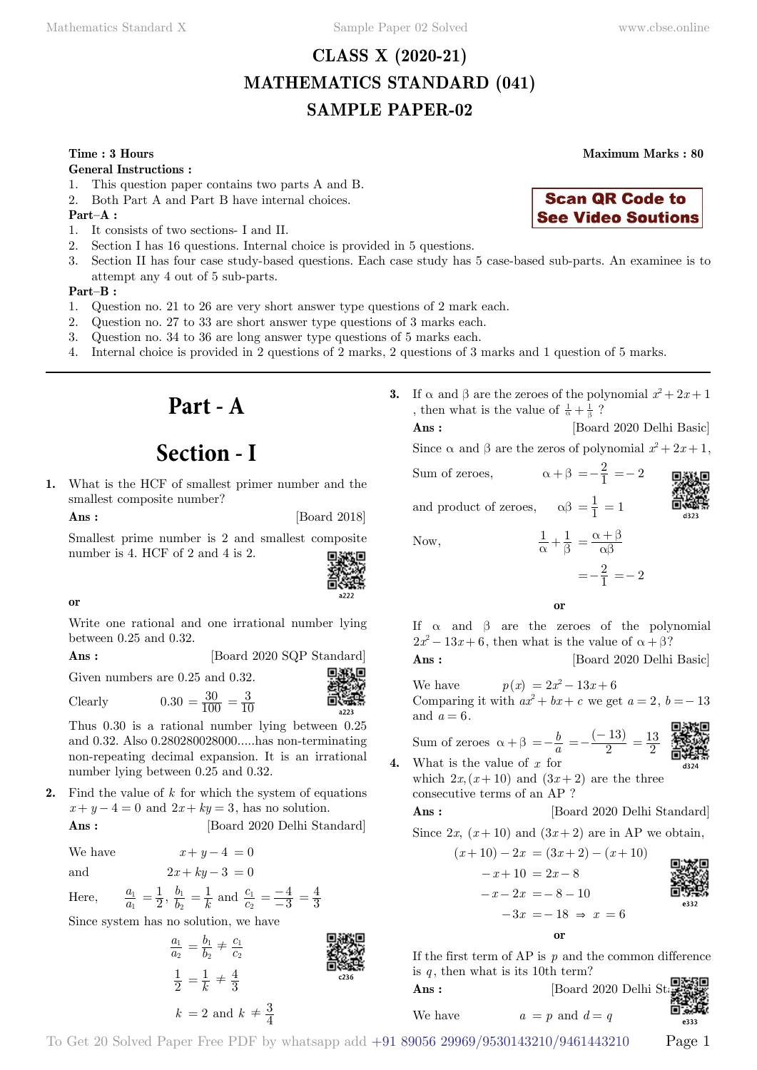# **CLASS X (2020-21) MATHEMATICS STANDARD (041) SAMPLE PAPER-02**

### **Time : 3 Hours Maximum Marks : 80**

#### **General Instructions :**

- 1. This question paper contains two parts A and B.
- 2. Both Part A and Part B have internal choices.

# **Part–A :**

- 1. It consists of two sections- I and II.
- 2. Section I has 16 questions. Internal choice is provided in 5 questions.
- 3. Section II has four case study-based questions. Each case study has 5 case-based sub-parts. An examinee is to attempt any 4 out of 5 sub-parts.

### **Part–B :**

- 1. Question no. 21 to 26 are very short answer type questions of 2 mark each.
- 2. Question no. 27 to 33 are short answer type questions of 3 marks each.
- 3. Question no. 34 to 36 are long answer type questions of 5 marks each.
- 4. Internal choice is provided in 2 questions of 2 marks, 2 questions of 3 marks and 1 question of 5 marks.

# **Part - A**

# **Section - I**

**1.** What is the HCF of smallest primer number and the smallest composite number?

**Ans :** [Board 2018]

Smallest prime number is 2 and smallest composite number is 4. HCF of 2 and 4 is 2.



# **o**

Write one rational and one irrational number lying between 0.25 and 0.32.

| $\rm{Ans:}$ | [Board 2020 SQP Standard] |
|-------------|---------------------------|
|             | ----                      |

Given numbers are 0.25 and 0.32.

Clearly  $0.30 = \frac{30}{100} = \frac{3}{10}$ 

Thus 0.30 is a rational number lying between 0.25 and 0.32. Also 0.280280028000.....has non-terminating non-repeating decimal expansion. It is an irrational number lying between 0.25 and 0.32.

**2.** Find the value of *k* for which the system of equations  $x + y - 4 = 0$  and  $2x + ky = 3$ , has no solution.

**Ans :** [Board 2020 Delhi Standard]

We have  $x + y - 4 = 0$ 

and  $2x + ky - 3 = 0$ 

Here, 
$$
\frac{a_1}{a_1} = \frac{1}{2}, \frac{b_1}{b_2} = \frac{1}{k}
$$
 and  $\frac{c_1}{c_2} = \frac{-4}{-3}$ 

Since system has no solution, we have

$$
\frac{a_1}{a_2} = \frac{b_1}{b_2} \neq \frac{c_1}{c_2}
$$
\n
$$
\frac{1}{2} = \frac{1}{k} \neq \frac{4}{3}
$$
\n
$$
k = 2 \text{ and } k \neq \frac{3}{4}
$$
\n
$$
\frac{3}{2} \neq 3
$$
\n
$$
\frac{3}{2} \neq 3
$$
\n
$$
\frac{3}{2} \neq 3
$$
\n
$$
\frac{3}{2} \neq 3
$$

 $=\frac{4}{3}$ 



**3.** If  $\alpha$  and  $\beta$  are the zeroes of the polynomial  $x^2 + 2x + 1$ , then what is the value of  $\frac{1}{\alpha} + \frac{1}{\beta}$ ?

**Ans :** [Board 2020 Delhi Basic]

Since  $\alpha$  and  $\beta$  are the zeros of polynomial  $x^2 + 2x + 1$ ,

Sum of zeroes,  $\alpha + \beta = -\frac{2}{1} = -2$ and product of zeroes,  $\alpha\beta = \frac{1}{1} = 1$ 



Now,  $\frac{1}{\alpha} + \frac{1}{\beta} = \frac{\alpha + \beta}{\alpha \beta}$ 

 $=-\frac{2}{1}=-2$ 

# **o**

If  $\alpha$  and  $\beta$  are the zeroes of the polynomial  $2x^2 - 13x + 6$ , then what is the value of  $\alpha + \beta$ ?

**Ans :** [Board 2020 Delhi Basic]

We have  $p(x) = 2x^2 - 13x + 6$ Comparing it with  $ax^2 + bx + c$  we get  $a = 2$ ,  $b = -13$ and  $a = 6$ .

Sum of zeroes  $\alpha + \beta = -\frac{b}{a} = -\frac{(-13)}{2} = \frac{13}{2}$ 

$$
\begin{array}{c}\n\begin{array}{c}\n\frac{1}{2} \\
\frac{1}{2} \\
\frac{1}{2} \\
\frac{1}{2} \\
\frac{1}{2} \\
\frac{1}{2} \\
\frac{1}{2} \\
\frac{1}{2} \\
\frac{1}{2} \\
\frac{1}{2} \\
\frac{1}{2} \\
\frac{1}{2} \\
\frac{1}{2} \\
\frac{1}{2} \\
\frac{1}{2} \\
\frac{1}{2} \\
\frac{1}{2} \\
\frac{1}{2} \\
\frac{1}{2} \\
\frac{1}{2} \\
\frac{1}{2} \\
\frac{1}{2} \\
\frac{1}{2} \\
\frac{1}{2} \\
\frac{1}{2} \\
\frac{1}{2} \\
\frac{1}{2} \\
\frac{1}{2} \\
\frac{1}{2} \\
\frac{1}{2} \\
\frac{1}{2} \\
\frac{1}{2} \\
\frac{1}{2} \\
\frac{1}{2} \\
\frac{1}{2} \\
\frac{1}{2} \\
\frac{1}{2} \\
\frac{1}{2} \\
\frac{1}{2} \\
\frac{1}{2} \\
\frac{1}{2} \\
\frac{1}{2} \\
\frac{1}{2} \\
\frac{1}{2} \\
\frac{1}{2} \\
\frac{1}{2} \\
\frac{1}{2} \\
\frac{1}{2} \\
\frac{1}{2} \\
\frac{1}{2} \\
\frac{1}{2} \\
\frac{1}{2} \\
\frac{1}{2} \\
\frac{1}{2} \\
\frac{1}{2} \\
\frac{1}{2} \\
\frac{1}{2} \\
\frac{1}{2} \\
\frac{1}{2} \\
\frac{1}{2} \\
\frac{1}{2} \\
\frac{1}{2} \\
\frac{1}{2} \\
\frac{1}{2} \\
\frac{1}{2} \\
\frac{1}{2} \\
\frac{1}{2} \\
\frac{1}{2} \\
\frac{1}{2} \\
\frac{1}{2} \\
\frac{1}{2} \\
\frac{1}{2} \\
\frac{1}{2} \\
\frac{1}{2} \\
\frac{1}{2} \\
\frac{1}{2} \\
\frac{1}{2} \\
\frac{1}{2} \\
\frac{1}{2} \\
\frac{1}{2} \\
\frac{1}{2} \\
\frac{1}{2} \\
\frac{1}{2} \\
\frac{1}{2} \\
\frac{1}{2} \\
\frac{1}{2} \\
\frac{1}{2} \\
\frac{1}{2} \\
\frac{1}{2} \\
\frac{1}{2} \\
\frac{1}{2} \\
\frac{1}{2} \\
\frac{1}{2} \\
$$

**4.** What is the value of *x* for which  $2x, (x+10)$  and  $(3x+2)$  are the three consecutive terms of an AP ?

**Ans :** [Board 2020 Delhi Standard]

Since 
$$
2x
$$
,  $(x+10)$  and  $(3x+2)$  are in AP we obtain,

 $(x+10) - 2x = (3x+2) - (x+10)$  $-x+10 = 2x-8$  $-x - 2x = -8 - 10$  $-3x = -18 \Rightarrow x = 6$ 

$$
\mathbf{or}
$$

If the first term of AP is *p* and the common difference is  $q$ , then what is its 10th term?

**Ans :** [Board 2020 Delhi Standard] We have  $a = p$  and  $d = q$ 

 $-333$ 

To Get 20 Solved Paper Free PDF by whatsapp add +91 89056 29969/9530143210/9461443210 Page 1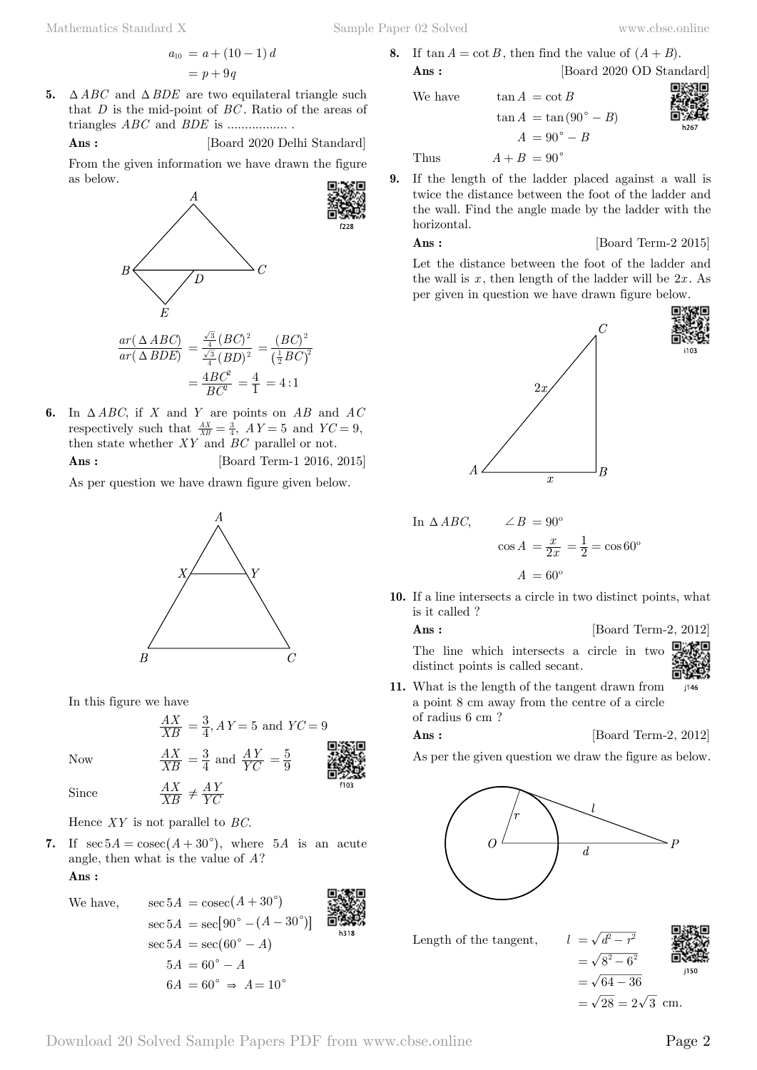**5.**  $\triangle ABC$  and  $\triangle BDE$  are two equilateral triangle such that *D* is the mid-point of *BC* . Ratio of the areas of triangles *ABC* and *BDE* is ................. .

**Ans :** [Board 2020 Delhi Standard]

From the given information we have drawn the figure as below.



**6.** In  $\triangle ABC$ , if *X* and *Y* are points on *AB* and *AC* respectively such that  $\frac{AX}{XB} = \frac{3}{4}$ ,  $AY = 5$  and  $YC = 9$ , then state whether *XY* and *BC* parallel or not. **Ans :** [Board Term-1 2016, 2015]

As per question we have drawn figure given below.



In this figure we have



Since *XB*

Hence *XY* is not parallel to *BC*.

*AX*

**7.** If  $\sec 5A = \csc(A + 30^{\circ})$ , where 5*A* is an acute angle, then what is the value of *A*?

 $\neq \frac{AY}{YC}$ 

 **Ans :**

We have,  
\n
$$
\sec 5A = \csc(A + 30^{\circ})
$$
\n
$$
\sec 5A = \sec[90^{\circ} - (A - 30^{\circ})]
$$
\n
$$
\sec 5A = \sec(60^{\circ} - A)
$$
\n
$$
5A = 60^{\circ} - A
$$
\n
$$
6A = 60^{\circ} \Rightarrow A = 10^{\circ}
$$

**8.** If  $\tan A = \cot B$ , then find the value of  $(A + B)$ . **Ans :** [Board 2020 OD Standard]

 $tan A = cot B$ 

 $\tan A = \tan (90^\circ - B)$  $A = 90^{\circ} - B$ Thus  $A + B = 90^\circ$ 

**9.** If the length of the ladder placed against a wall is twice the distance between the foot of the ladder and the wall. Find the angle made by the ladder with the horizontal.

# **Ans :** [Board Term-2 2015]

Let the distance between the foot of the ladder and the wall is  $x$ , then length of the ladder will be  $2x$ . As per given in question we have drawn figure below.



In 
$$
\triangle ABC
$$
,  $\angle B = 90^{\circ}$   

$$
\cos A = \frac{x}{2x} = \frac{1}{2} = \cos 60^{\circ}
$$

$$
A = 60^{\circ}
$$

**10.** If a line intersects a circle in two distinct points, what is it called ?

**Ans :** [Board Term-2, 2012]

The line which intersects a circle in two distinct points is called secant.



**11.** What is the length of the tangent drawn from j146 a point 8 cm away from the centre of a circle of radius 6 cm ?

**Ans :** [Board Term-2, 2012]

As per the given question we draw the figure as below.

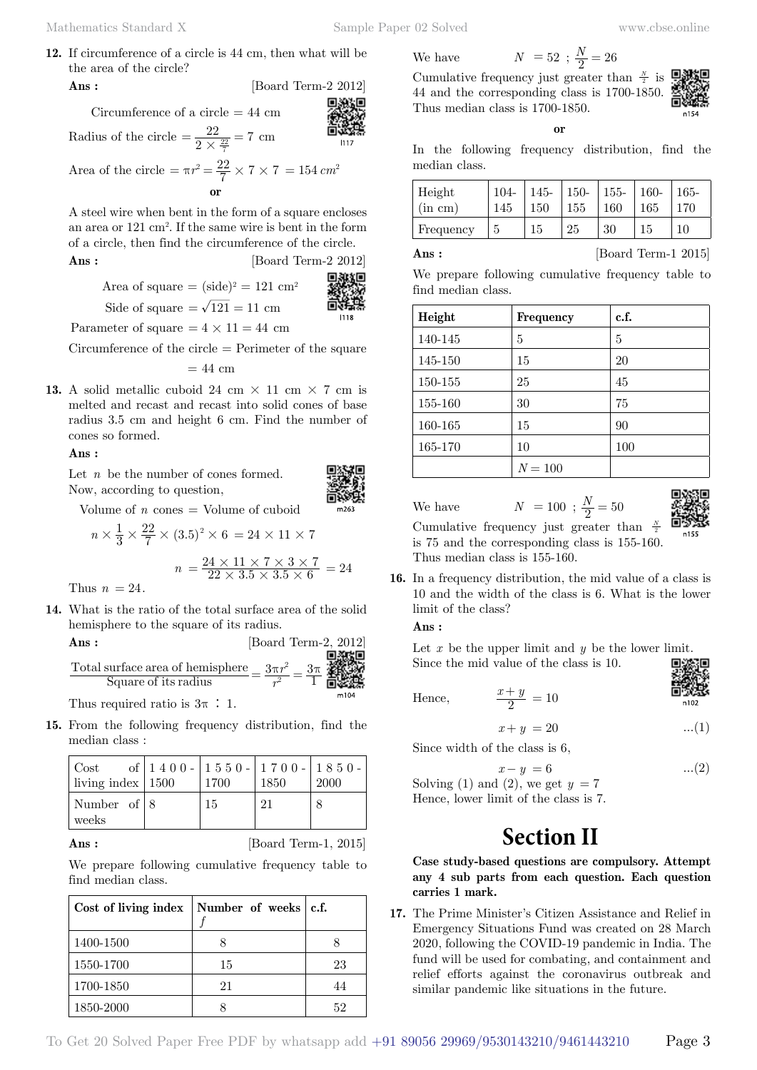**12.** If circumference of a circle is 44 cm, then what will be the area of the circle?

$$
Ans: [Board Term-2 2012]
$$

Circumference of a circle  $= 44$  cm

Radius of the circle 
$$
=\frac{22}{2 \times \frac{22}{7}} = 7
$$
 cm

Area of the circle = 
$$
\pi r^2 = \frac{22}{7} \times 7 \times 7 = 154 \text{ cm}^2
$$
  
or

A steel wire when bent in the form of a square encloses an area or 121 cm2 . If the same wire is bent in the form of a circle, then find the circumference of the circle.

**Ans :** [Board Term-2 2012]

Area of square = 
$$
(side)^2 = 121 \text{ cm}^2
$$

$$
Side of square = \sqrt{121} = 11 \text{ cm}
$$
  
Side of square =  $\sqrt{121} = 11 \text{ cm}$ 

Parameter of square  $= 4 \times 11 = 44$  cm

Circumference of the circle = Perimeter of the square

$$
= 44~\mathrm{cm}
$$

**13.** A solid metallic cuboid 24 cm  $\times$  11 cm  $\times$  7 cm is melted and recast and recast into solid cones of base radius 3.5 cm and height 6 cm. Find the number of cones so formed.

### **Ans :**

Let *n* be the number of cones formed. Now, according to question,

Volume of  $n \text{ cones} = \text{Volume of cuboid}$ 

$$
n \times \frac{1}{3} \times \frac{22}{7} \times (3.5)^2 \times 6 = 24 \times 11 \times 7
$$

$$
n = \frac{24 \times 11 \times 7 \times 3 \times 7}{22 \times 3.5 \times 3.5 \times 6} = 24
$$

Thus  $n = 24$ .

**14.** What is the ratio of the total surface area of the solid hemisphere to the square of its radius.

**Ans :** [Board Term-2, 2012]  
Total surface area of hemisphere 
$$
=
$$
  $\frac{3\pi r^2}{r^2} = \frac{3\pi}{1} \frac{2012}{\text{max}}$ 

Thus required ratio is  $3\pi : 1$ .

**15.** From the following frequency distribution, find the median class :

| Cost of $\begin{array}{ c c c c c c c c } \hline 1 & 4 & 0 & 0 \\ \hline \text{ living index} & 1500 & 1700 & 1850 \\ \hline \end{array}$ 1850 $\begin{array}{ c c c c c c c } \hline 1 & 8 & 5 & 0 \\ \hline 2000 & 1850 & 2000 \\ \hline \end{array}$ |    |    |  |
|---------------------------------------------------------------------------------------------------------------------------------------------------------------------------------------------------------------------------------------------------------|----|----|--|
| Number of $ 8 $<br>weeks                                                                                                                                                                                                                                | 15 | 21 |  |

**Ans :** [Board Term-1, 2015]

We prepare following cumulative frequency table to find median class.

| Cost of living index   Number of weeks $ c.f.$ |    |    |
|------------------------------------------------|----|----|
| 1400-1500                                      |    |    |
| 1550-1700                                      | 15 | 23 |
| 1700-1850                                      | 21 | 44 |
| 1850-2000                                      |    | 59 |

$$
52 \cdot N = 26
$$

Cumulative frequency just greater than  $\frac{N}{2}$  is 44 and the corresponding class is 1700-1850. Thus median class is 1700-1850.

 **o**



In the following frequency distribution, find the median class.

| Height     | $104 -$ | $145 -$ | $150-$ | 155- | $160 -$ | $165 -$ |
|------------|---------|---------|--------|------|---------|---------|
| $\sin$ cm) | 145     | 150     | 155    | 160  | 165     | 170     |
| Frequency  |         | 15      | 25     | 30   | 15      | 10      |

| $\bf s:$ |  |  |  |  |
|----------|--|--|--|--|
|          |  |  |  |  |
|          |  |  |  |  |

**Ans :** [Board Term-1 2015]

We prepare following cumulative frequency table to find median class.

| Height  | Frequency | c.f. |
|---------|-----------|------|
| 140-145 | 5         | 5    |
| 145-150 | 15        | 20   |
| 150-155 | 25        | 45   |
| 155-160 | 30        | 75   |
| 160-165 | 15        | 90   |
| 165-170 | 10        | 100  |
|         | $N = 100$ |      |

We have  $N = 100$ ;  $\frac{N}{2} = 50$ Cumulative frequency just greater than *<sup>N</sup>*



 $\frac{c}{2}$ is 75 and the corresponding class is 155-160. Thus median class is 155-160.

**16.** In a frequency distribution, the mid value of a class is 10 and the width of the class is 6. What is the lower limit of the class?

 **Ans :**

Let x be the upper limit and y be the lower limit. Since the mid value of the class is 10.

Hence, 
$$
\frac{x+y}{2} = 10
$$

 $x + y = 20$  ...(1)

Since width of the class is 6,

$$
x - y = 6 \tag{2}
$$

Solving (1) and (2), we get  $y = 7$ Hence, lower limit of the class is 7.

# **Section II**

**Case study-based questions are compulsory. Attempt any 4 sub parts from each question. Each question carries 1 mark.**

**17.** The Prime Minister's Citizen Assistance and Relief in Emergency Situations Fund was created on 28 March 2020, following the COVID-19 pandemic in India. The fund will be used for combating, and containment and relief efforts against the coronavirus outbreak and similar pandemic like situations in the future.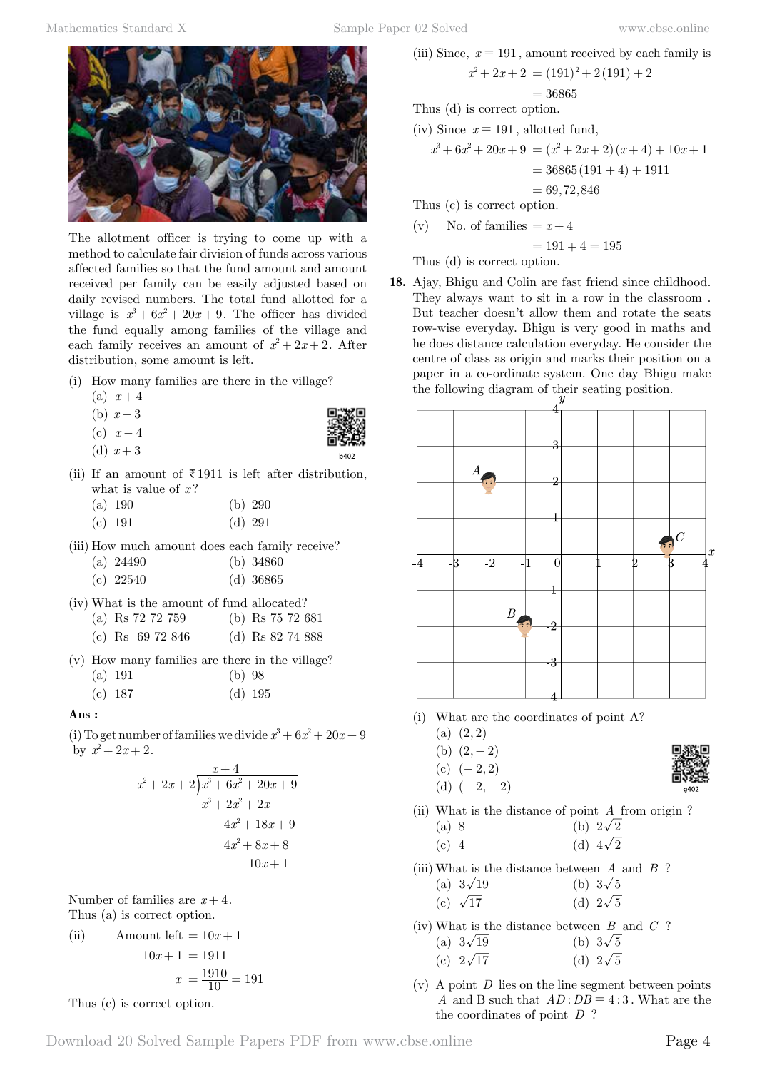

The allotment officer is trying to come up with a method to calculate fair division of funds across various affected families so that the fund amount and amount received per family can be easily adjusted based on daily revised numbers. The total fund allotted for a village is  $x^3 + 6x^2 + 20x + 9$ . The officer has divided the fund equally among families of the village and each family receives an amount of  $x^2 + 2x + 2$ . After distribution, some amount is left.

- (i) How many families are there in the village?
	- (a)  $x+4$
	- (b)  $x-3$
	- (c)  $x-4$ (d)  $x + 3$
- 
- (ii) If an amount of  $\bar{\tau}$  1911 is left after distribution, what is value of x?

| (a) 190 |           | (b) $290$ |
|---------|-----------|-----------|
| (c) 191 | $(d)$ 291 |           |

(iii) How much amount does each family receive?

| (a) $24490$ | (b) $34860$ |
|-------------|-------------|
| $(c)$ 22540 | $(d)$ 36865 |

(iv) What is the amount of fund allocated?

| (a) Rs $72\,72\,759$ | (b) Rs $75\ 72\ 681$ |  |                                                                                       |
|----------------------|----------------------|--|---------------------------------------------------------------------------------------|
|                      |                      |  | $(1)$ $\rightarrow$ $(0)$ $\rightarrow$ $(0)$ $\rightarrow$ $(0)$ $\rightarrow$ $(0)$ |

|  | (c) Rs $69\ 72\ 846$ |  | (d) Rs $82\,74\,888$ |  |
|--|----------------------|--|----------------------|--|
|  |                      |  |                      |  |

(v) How many families are there in the village?

| (a) 191 | $(b)$ 98 |           |
|---------|----------|-----------|
| (c) 187 |          | $(d)$ 195 |

# **Ans :**

(i) To get number of families we divide  $x^3 + 6x^2 + 20x + 9$ by  $x^2 + 2x + 2$ .

$$
\begin{array}{r} x+4 \\ x^2+2x+2 \overline{\smash{\big)}\ x^3+6x^2+20x+9} \\ \underline{x^3+2x^2+2x} \\ 4x^2+18x+9 \\ \underline{4x^2+8x+8} \\ 10x+1 \end{array}
$$

Number of families are  $x+4$ .

Thus (a) is correct option.

(ii) Amount left = 
$$
10x + 1
$$
  

$$
10x + 1 = 1911
$$

$$
x = \frac{1910}{10} = 191
$$

Thus (c) is correct option.

(iii) Since, 
$$
x = 191
$$
, amount received by each family is  
\n
$$
x^2 + 2x + 2 = (191)^2 + 2(191) + 2
$$
\n
$$
= 36865
$$
\nThus (d) is correct option.  
\n(iv) Since  $x = 191$ , allotted fund,

$$
x3 + 6x2 + 20x + 9 = (x2 + 2x + 2)(x + 4) + 10x + 1
$$
  
= 36865(191 + 4) + 1911

$$
= 69,72,846
$$

Thus (c) is correct option.

(v) No. of families 
$$
= x+4
$$

$$
= 191 + 4 = 195
$$

Thus (d) is correct option.

**18.** Ajay, Bhigu and Colin are fast friend since childhood. They always want to sit in a row in the classroom . But teacher doesn't allow them and rotate the seats row-wise everyday. Bhigu is very good in maths and he does distance calculation everyday. He consider the centre of class as origin and marks their position on a paper in a co-ordinate system. One day Bhigu make the following diagram of their seating position.



- (i) What are the coordinates of point A?
	- $(a)$   $(2, 2)$
	- (b)  $(2, -2)$
	- (c)  $(-2, 2)$
	- (d)  $(-2, -2)$
- 
- (ii) What is the distance of point *A* from origin ? (a) 8 (b)  $2\sqrt{2}$ 
	- (c) 4 (d)  $4\sqrt{2}$
- (iii) What is the distance between *A* and *B* ? (a)  $3\sqrt{19}$  (b)  $3\sqrt{5}$ (c)  $\sqrt{17}$  (d)  $2\sqrt{5}$
- (iv) What is the distance between *B* and *C* ? (a)  $3\sqrt{19}$  (b)  $3\sqrt{5}$ (c)  $2\sqrt{17}$  (d)  $2\sqrt{5}$
- (v) A point *D* lies on the line segment between points *A* and B such that  $AD:DB = 4:3$ . What are the the coordinates of point *D* ?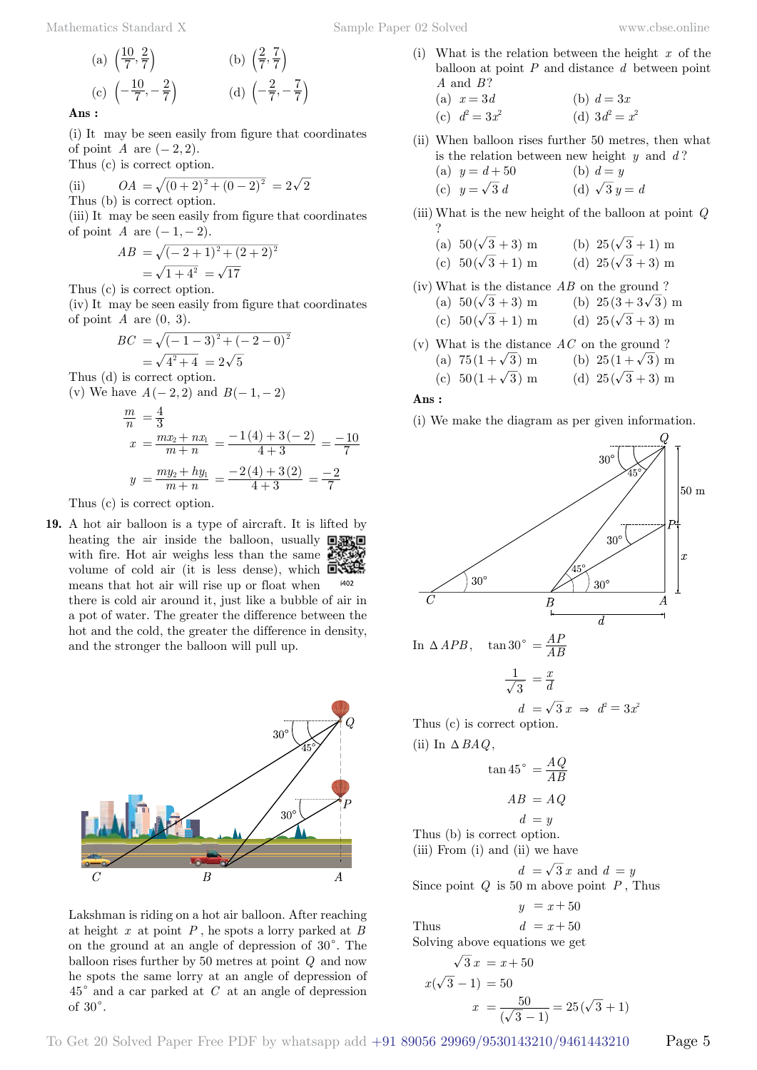**Ans :**

(i) It may be seen easily from figure that coordinates of point *A* are  $(-2, 2)$ .

Thus (c) is correct option.

(ii) 
$$
OA = \sqrt{(0+2)^2 + (0-2)^2} = 2\sqrt{2}
$$
\nThus (b) is correct option.

(iii) It may be seen easily from figure that coordinates of point *A* are  $(-1, -2)$ .

$$
AB = \sqrt{(-2+1)^2 + (2+2)^2}
$$
  
=  $\sqrt{1+4^2} = \sqrt{17}$ 

Thus (c) is correct option.

(iv) It may be seen easily from figure that coordinates of point  $A$  are  $(0, 3)$ .

$$
BC = \sqrt{(-1-3)^2 + (-2-0)^2}
$$
  
=  $\sqrt{4^2 + 4} = 2\sqrt{5}$ 

Thus (d) is correct option. (v) We have  $A(-2, 2)$  and  $B(-1, -2)$ 

$$
\frac{m}{n} = \frac{4}{3}
$$
  

$$
x = \frac{mx_2 + nx_1}{m+n} = \frac{-1(4) + 3(-2)}{4+3} = \frac{-10}{7}
$$
  

$$
y = \frac{my_2 + hy_1}{m+n} = \frac{-2(4) + 3(2)}{4+3} = \frac{-2}{7}
$$

Thus (c) is correct option.

**19.** A hot air balloon is a type of aircraft. It is lifted by heating the air inside the balloon, usually  $\Box$ with fire. Hot air weighs less than the same  $\mathbb{Z}$ volume of cold air (it is less dense), which  $\Box$ means that hot air will rise up or float when i402

there is cold air around it, just like a bubble of air in a pot of water. The greater the difference between the hot and the cold, the greater the difference in density, and the stronger the balloon will pull up.



Lakshman is riding on a hot air balloon. After reaching at height *x* at point *P* , he spots a lorry parked at *B* on the ground at an angle of depression of  $30^{\circ}$ . The balloon rises further by 50 metres at point *Q* and now he spots the same lorry at an angle of depression of  $45^{\circ}$  and a car parked at *C* at an angle of depression of  $30^\circ$ .

(i) What is the relation between the height *x* of the balloon at point *P* and distance *d* between point *A* and *B* ?

(a) 
$$
x = 3d
$$
  
\n(b)  $d = 3x$   
\n(c)  $d^2 = 3x^2$   
\n(d)  $3d^2 = x^2$ 

(ii) When balloon rises further 50 metres, then what is the relation between new height *y* and *d* ?

(a) 
$$
y = d + 50
$$
  
\n(b)  $d = y$   
\n(c)  $y = \sqrt{3} d$   
\n(d)  $\sqrt{3} y = d$ 

(iii) What is the new height of the balloon at point *Q* ?

(a) 
$$
50(\sqrt{3}+3)
$$
 m  
(b)  $25(\sqrt{3}+1)$  m  
(c)  $50(\sqrt{3}+1)$  m  
(d)  $25(\sqrt{3}+3)$  m

- (iv) What is the distance *AB* on the ground ? (a)  $50(\sqrt{3} + 3)$  m (b)  $25(3 + 3\sqrt{3})$  m (c)  $50(\sqrt{3} + 1)$  m (d)  $25(\sqrt{3} + 3)$  m
- (v) What is the distance *AC* on the ground ?
	- (a)  $75(1+\sqrt{3})$  m (b)  $25(1+\sqrt{3})$  m
	- (c)  $50(1+\sqrt{3})$  m (d)  $25(\sqrt{3}+3)$  m

# **Ans :**

(i) We make the diagram as per given information.



$$
\sqrt{3}x = x + 50
$$
  

$$
x(\sqrt{3} - 1) = 50
$$
  

$$
x = \frac{50}{(\sqrt{3} - 1)} = 25(\sqrt{3} + 1)
$$

 $+1)$ 

To Get 20 Solved Paper Free PDF by whatsapp add +91 89056 29969/9530143210/9461443210 Page 5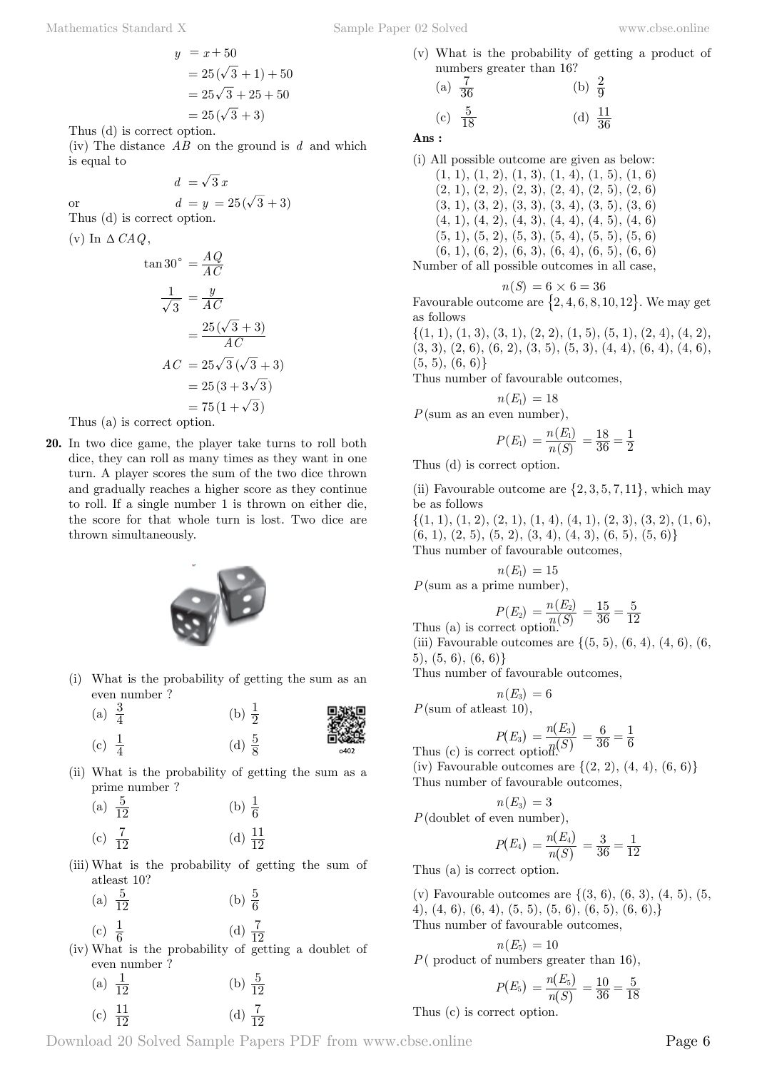Mathematics Standard X Sample Paper 02 Solved [www.cbse.online](http://www.cbse.online)

$$
y = x + 50
$$
  
= 25( $\sqrt{3}$  + 1) + 50  
= 25 $\sqrt{3}$  + 25 + 50  
= 25( $\sqrt{3}$  + 3)

Thus (d) is correct option.

(iv) The distance *AB* on the ground is *d* and which is equal to

or 
$$
d = y = 25(\sqrt{3} + 3)
$$
  
Thus (d) is correct option.

 $d = \sqrt{3} x$ 

(v) In  $\triangle$  *CAQ*,

$$
\tan 30^\circ = \frac{AQ}{AC}
$$

$$
\frac{1}{\sqrt{3}} = \frac{y}{AC}
$$

$$
= \frac{25(\sqrt{3}+3)}{AC}
$$

$$
AC = 25\sqrt{3}(\sqrt{3}+3)
$$

$$
= 25(3+3\sqrt{3})
$$

$$
= 75(1+\sqrt{3})
$$

Thus (a) is correct option.

**20.** In two dice game, the player take turns to roll both dice, they can roll as many times as they want in one turn. A player scores the sum of the two dice thrown and gradually reaches a higher score as they continue to roll. If a single number 1 is thrown on either die, the score for that whole turn is lost. Two dice are thrown simultaneously.



- (i) What is the probability of getting the sum as an even number ?
	- (a)  $\frac{3}{4}$  $\frac{3}{4}$  (b)  $\frac{1}{2}$
	- (c)  $\frac{1}{4}$  $\frac{1}{4}$  (d)  $\frac{5}{8}$



(ii) What is the probability of getting the sum as a prime number ?

| (a) $\frac{5}{12}$ | (b) $\frac{1}{6}$   |  |
|--------------------|---------------------|--|
| (c) $\frac{7}{12}$ | (d) $\frac{11}{12}$ |  |

- (iii) What is the probability of getting the sum of atleast 10?
	- (a)  $\frac{5}{12}$  $rac{5}{12}$  (b)  $rac{5}{6}$

(c) 
$$
\frac{1}{6}
$$
 (d)  $\frac{7}{12}$ 

(iv) What is the probability of getting a doublet of even number ?

| (a) $\frac{1}{12}$  | (b) $\frac{5}{12}$ |
|---------------------|--------------------|
| (c) $\frac{11}{12}$ | (d) $\frac{7}{12}$ |

- 
- (v) What is the probability of getting a product of numbers greater than 16?

(a) 
$$
\frac{7}{36}
$$
 (b)  $\frac{2}{9}$   
(c)  $\frac{5}{18}$  (d)  $\frac{11}{36}$ 

 **Ans :**

(i) All possible outcome are given as below: (1, 9), (1, 2), (1, 4), (1, 5), (1, 6)

$$
(1, 1), (1, 2), (1, 3), (1, 4), (1, 3), (1, 0)
$$
  
\n $(2, 1), (2, 2), (2, 3), (2, 4), (2, 5), (2, 6)$   
\n $(3, 1), (3, 2), (3, 3), (3, 4), (3, 5), (3, 6)$   
\n $(4, 1), (4, 2), (4, 3), (4, 4), (4, 5), (4, 6)$   
\n $(5, 1), (5, 2), (5, 3), (5, 4), (5, 5), (5, 6)$   
\n $(6, 1), (6, 2), (6, 3), (6, 4), (6, 5), (6, 6)$   
\nNumber of all possible outcomes in all case,

$$
n(S) = 6 \times 6 = 36
$$

Favourable outcome are  $\{2, 4, 6, 8, 10, 12\}$ . We may get as follows

 $\{(1, 1), (1, 3), (3, 1), (2, 2), (1, 5), (5, 1), (2, 4), (4, 2),\}$  $(3, 3), (2, 6), (6, 2), (3, 5), (5, 3), (4, 4), (6, 4), (4, 6),$  $(5, 5), (6, 6)$ 

Thus number of favourable outcomes,

$$
n(E_{\rm l})=18
$$

*P*(sum as an even number),

$$
P(E_1) = \frac{n(E_1)}{n(S)} = \frac{18}{36} = \frac{1}{2}
$$

Thus (d) is correct option.

(ii) Favourable outcome are  $\{2, 3, 5, 7, 11\}$ , which may be as follows

 $\{(1, 1), (1, 2), (2, 1), (1, 4), (4, 1), (2, 3), (3, 2), (1, 6),\}$  $(6, 1), (2, 5), (5, 2), (3, 4), (4, 3), (6, 5), (5, 6)$ Thus number of favourable outcomes,

$$
n\left( E_{\mathrm{l}}\right) \,=15
$$

*P*(sum as a prime number),

Thus (a) is correct option.  
\n
$$
P(E_2) = \frac{n(E_2)}{n(S)} = \frac{15}{36} = \frac{5}{12}
$$

(iii) Favourable outcomes are  $\{(5, 5), (6, 4), (4, 6), (6,$ 5), (5, 6), (6, 6)}

Thus number of favourable outcomes,

$$
n(E_3) = 6
$$
  
 $P(\text{sum of at least 10}),$ 

Thus (c) is correct option 
$$
P(E_3) = \frac{n(E_3)}{n(S)} = \frac{6}{36} = \frac{1}{6}
$$

(iv) Favourable outcomes are  $\{(2, 2), (4, 4), (6, 6)\}\$ Thus number of favourable outcomes,

$$
n(E_3) = 3
$$
  

$$
P(\text{doublet of even number}),
$$
  

$$
P(E_4) = \frac{n(E_4)}{n(S)} = \frac{3}{36} = \frac{1}{12}
$$

 $\left( S\right)$ Thus (a) is correct option.

(v) Favourable outcomes are  $\{(3, 6), (6, 3), (4, 5), (5,$ 4), (4, 6), (6, 4), (5, 5), (5, 6), (6, 5), (6, 6),} Thus number of favourable outcomes,

$$
n(E_5) = 10
$$
  
*P*( product of numbers greater than 16),

$$
P(E_5) = \frac{n(E_5)}{n(S)} = \frac{10}{36} = \frac{5}{18}
$$

Thus (c) is correct option.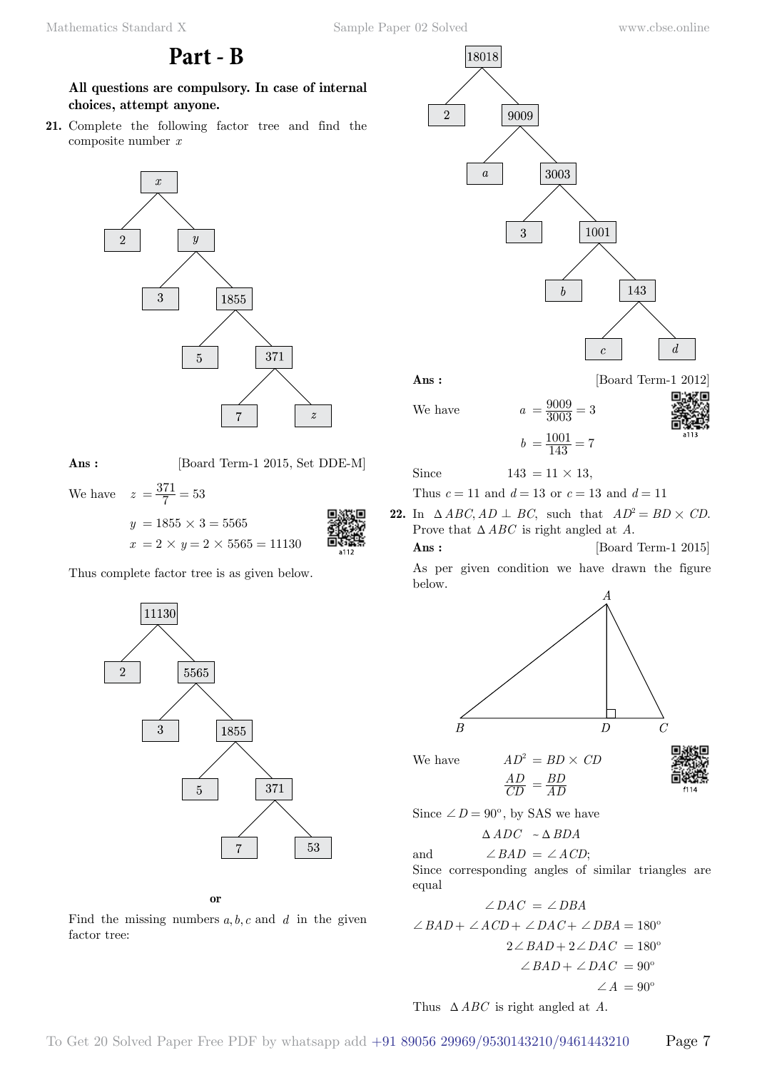**Part - B**

**All questions are compulsory. In case of internal choices, attempt anyone.**

**21.** Complete the following factor tree and find the composite number *x*



**Ans :** [Board Term-1 2015, Set DDE-M]

We have  $z = \frac{371}{7} = 53$ 

 $y = 1855 \times 3 = 5565$  $x = 2 \times y = 2 \times 5565 = 11130$ 

Thus complete factor tree is as given below.



# **o**

Find the missing numbers  $a, b, c$  and  $d$  in the given factor tree:



We have  $a$ 

| $\boldsymbol{a}$ | $=\frac{9009}{3003}=3$     |  | å |
|------------------|----------------------------|--|---|
|                  | $b = \frac{1001}{143} = 7$ |  |   |
|                  | . 10                       |  |   |

Since  $143 = 11 \times 13$ ,

Thus  $c = 11$  and  $d = 13$  or  $c = 13$  and  $d = 11$ 

- **22.** In  $\triangle ABC$ ,  $AD \perp BC$ , such that  $AD^2 = BD \times CD$ . Prove that  $\triangle ABC$  is right angled at *A*.
	- **Ans :** [Board Term-1 2015] As per given condition we have drawn the figure



We have  $AD^2 = BD \times CD$ *AD*



Since  $\angle D = 90^{\circ}$ , by SAS we have

 $\triangle ADC \sim \triangle BDA$ 

 $=\frac{BD}{AD}$ 

and  $\angle BAD = \angle ACD$ ;

*CD*

Since corresponding angles of similar triangles are equal

$$
\angle DAC = \angle DBA
$$
  
\n
$$
\angle BAD + \angle ACD + \angle DAC + \angle DBA = 180^{\circ}
$$
  
\n
$$
2\angle BAD + 2\angle DAC = 180^{\circ}
$$
  
\n
$$
\angle BAD + \angle DAC = 90^{\circ}
$$
  
\n
$$
\angle A = 90^{\circ}
$$

Thus  $\triangle ABC$  is right angled at *A*.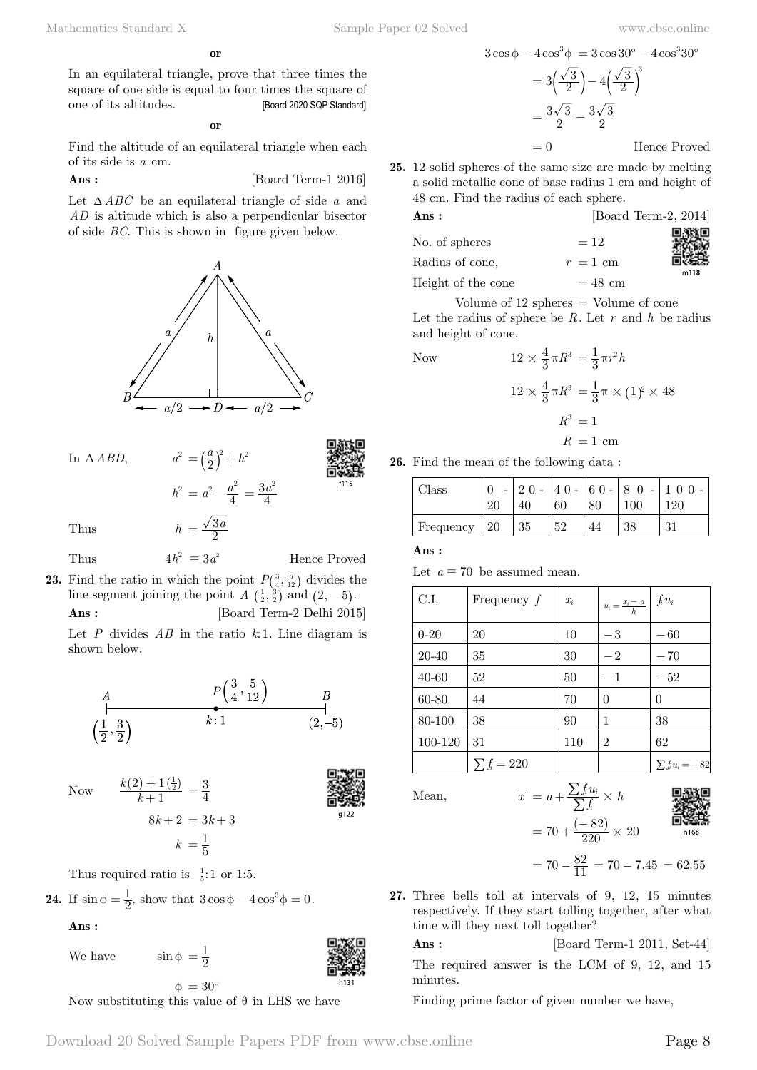**o**

In an equilateral triangle, prove that three times the square of one side is equal to four times the square of one of its altitudes. [Board 2020 SQP Standard]

#### **o**

Find the altitude of an equilateral triangle when each of its side is *a* cm.

**Ans :** [Board Term-1 2016]

Let  $\triangle ABC$  be an equilateral triangle of side *a* and *AD* is altitude which is also a perpendicular bisector of side *BC*. This is shown in figure given below.



In  $\triangle ABD$ ,  $a^2 = \left(\frac{a}{2}\right)^2 + h^2$ 



Thus  $h = \frac{\sqrt{3}a}{2}$ 

Thus  $4h^2 = 3a^2$  Hence Proved

**23.** Find the ratio in which the point  $P(\frac{3}{4}, \frac{5}{12})$  divides the line segment joining the point  $A\left(\frac{1}{2}, \frac{3}{2}\right)$  and  $(2, -5)$ .

 $h^2 = a^2 - \frac{a^2}{4} = \frac{3a}{4}$ 

 $=\frac{3a^2}{4}$ 

**Ans :** [Board Term-2 Delhi 2015]

Let *P* divides *AB* in the ratio *k*:1. Line diagram is shown below.

A  
\n
$$
P\left(\frac{3}{4}, \frac{5}{12}\right)
$$
 B  
\n $k:1$  B  
\n $(2,-5)$ 

Now  $\frac{k(2)+1(\frac{1}{2})}{k+1}$ 

*k*

$$
\mathbf{B}_{\mathbf{S}}^{\mathbf{S}}
$$

Thus required ratio is  $\frac{1}{5}$ : 1 or 1:5.

1  $(2) + 1\left(\frac{1}{2}\right)$ +  $^{+}$ 

**24.** If 
$$
\sin \phi = \frac{1}{2}
$$
, show that  $3\cos \phi - 4\cos^3 \phi = 0$ .

 $=\frac{3}{4}$ 

 $8k + 2 = 3k + 3$ 

 $k = \frac{1}{5}$ 

# **Ans :**

We have  $\sin \phi = \frac{1}{2}$ 

 $\phi = 30^{\circ}$ Now substituting this value of  $\theta$  in LHS we have

$$
3\cos\phi - 4\cos^3\phi = 3\cos 30^\circ - 4\cos^3 30^\circ
$$

$$
= 3\left(\frac{\sqrt{3}}{2}\right) - 4\left(\frac{\sqrt{3}}{2}\right)^3
$$

$$
= \frac{3\sqrt{3}}{2} - \frac{3\sqrt{3}}{2}
$$

$$
= 0
$$
Hence Proved

**25.** 12 solid spheres of the same size are made by melting a solid metallic cone of base radius 1 cm and height of 48 cm. Find the radius of each sphere.

| Ans:               |            | [Board Term-2, 2014] |
|--------------------|------------|----------------------|
| No. of spheres     | $=12$      |                      |
| Radius of cone,    | $r = 1$ cm |                      |
| Height of the cone | $= 48$ cm  | m118                 |

Volume of  $12$  spheres  $=$  Volume of cone Let the radius of sphere be *R*. Let *r* and *h* be radius and height of cone.

Now  
\n
$$
12 \times \frac{4}{3} \pi R^3 = \frac{1}{3} \pi r^2 h
$$
\n
$$
12 \times \frac{4}{3} \pi R^3 = \frac{1}{3} \pi \times (1)^2 \times 48
$$
\n
$$
R^3 = 1
$$
\n
$$
R = 1 \text{ cm}
$$



| Class     | 20       | $20 -$ | 60 | 80 | $ 40 - 60 - 80 -$<br>100 | 0 <sub>0</sub><br>$20^{\circ}$ |
|-----------|----------|--------|----|----|--------------------------|--------------------------------|
| Frequency | $\pm 20$ | 35     | 52 |    | 38                       | 21                             |

 **Ans :**

Let  $a = 70$  be assumed mean.

| C.I.     | Frequency $f$    | $x_i$ | $u_i = \frac{x_i - a}{h} \left  \int f_i u_i \right $ |                       |
|----------|------------------|-------|-------------------------------------------------------|-----------------------|
| $0 - 20$ | 20               | 10    | $-3$                                                  | $-60$                 |
| 20-40    | 35               | 30    | $-2$                                                  | $-70$                 |
| 40-60    | 52               | 50    | $-1$                                                  | $-52$                 |
| 60-80    | 44               | 70    | $\theta$                                              | $\theta$              |
| 80-100   | 38               | 90    | 1                                                     | 38                    |
| 100-120  | 31               | 110   | $\overline{2}$                                        | 62                    |
|          | $\sum f_i = 220$ |       |                                                       | $\sum f_i u_i = - 82$ |

Mean,  $\overline{x} = a + \frac{\sum f_i u_i}{\sum f_i} \times h$ 

Mean,  
\n
$$
\overline{x} = a + \frac{\sum f_i u_i}{\sum f_i} \times h
$$
\n
$$
= 70 + \frac{(-82)}{220} \times 20
$$
\n\nThis is a constant, we get

 $= 70 - \frac{82}{11} = 70 - 7.45 = 62.55$ 

**27.** Three bells toll at intervals of 9, 12, 15 minutes respectively. If they start tolling together, after what time will they next toll together?

**Ans :** [Board Term-1 2011, Set-44]

The required answer is the LCM of 9, 12, and 15 minutes.

Finding prime factor of given number we have,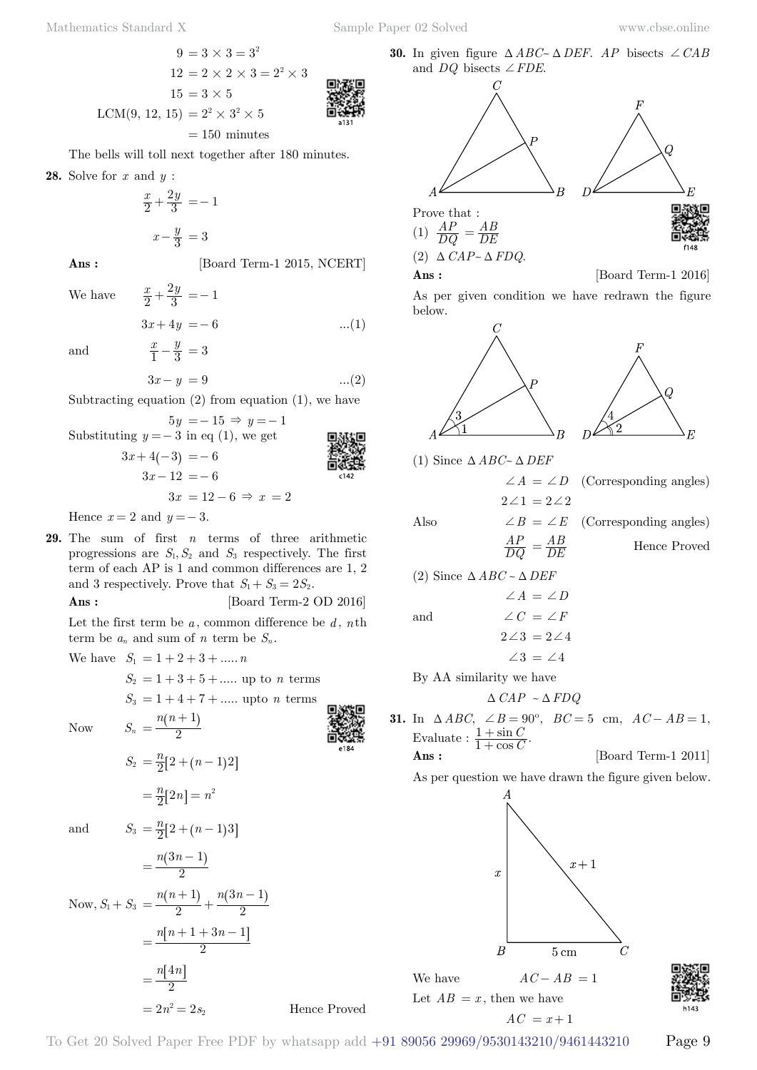$$
9 = 3 \times 3 = 3^{2}
$$
  
\n
$$
12 = 2 \times 2 \times 3 = 2^{2} \times 3
$$
  
\n
$$
15 = 3 \times 5
$$
  
\nLCM(9, 12, 15) =  $2^{2} \times 3^{2} \times 5$   
\n= 150 minutes

The bells will toll next together after 180 minutes.

**28.** Solve for *x* and *y* :

$$
\frac{x}{2} + \frac{2y}{3} = -1
$$

$$
x - \frac{y}{3} = 3
$$

**Ans :** [Board Term-1 2015, NCERT]

We have  $\frac{x}{2} + \frac{2y}{3} = -1$ 

$$
3x + 4y = -6
$$
 ...(1)

and  $\frac{x}{1} - \frac{y}{3} = 3$ 

$$
3x - y = 9 \tag{2}
$$

Subtracting equation  $(2)$  from equation  $(1)$ , we have

Substituting 
$$
y = -15 \Rightarrow y = -1
$$
  
\nSubstituting  $y = -3$  in eq (1), we get  
\n
$$
3x + 4(-3) = -6
$$
\n
$$
3x - 12 = -6
$$
\n
$$
3x = 12 - 6 \Rightarrow x = 2
$$
\n
$$
3x = 2
$$

Hence  $x = 2$  and  $y = -3$ .

**29.** The sum of first *n* terms of three arithmetic progressions are  $S_1, S_2$  and  $S_3$  respectively. The first term of each AP is 1 and common differences are 1, 2 and 3 respectively. Prove that  $S_1 + S_3 = 2S_2$ .

**Ans :** [Board Term-2 OD 2016]

Let the first term be *a* , common difference be *d* , *n*th term be  $a_n$  and sum of *n* term be  $S_n$ .

We have  $S_1 = 1 + 2 + 3 + \dots n$ 

*n n*

 $S_2 = 1 + 3 + 5 + \dots$  up to *n* terms

 $S_3 = 1 + 4 + 7 + \dots$  upto *n* terms

 $Now$ 

Now 
$$
S_n = \frac{n(n+1)}{2}
$$

$$
S_2 = \frac{n}{2}[2 + (n-1)2]
$$

$$
= \frac{n}{2}[2n] = n^2
$$

and *S* 

and 
$$
S_3 = \frac{n}{2}[2 + (n-1)3]
$$
  
=  $\frac{n(3n-1)}{2}$   
  
 $\sum_{n=1}^{\infty} n(n+1) = n(3n-1)$ 

Now, 
$$
S_1 + S_3 = \frac{n(n+1)}{2} + \frac{n(3n-1)}{2}
$$
  
=  $\frac{n[n+1+3n-1]}{2}$   
=  $\frac{n[4n]}{2}$   
=  $2n^2 = 2s_2$ 

**30.** In given figure  $\triangle ABC \sim \triangle DEF$ . AP bisects  $\angle CAB$ and *DQ* bisects  $\angle FDE$ .



As per given condition we have redrawn the figure below.





(1) Since  $\triangle ABC \sim \triangle DEF$  $\angle A = \angle D$  (Corresponding angles)  $2\angle 1 = 2\angle 2$ 

> *DQ AP*

Also  $\angle B = \angle E$  (Corresponding angles) *DE* Hence Proved

(2) Since  $\triangle ABC \sim \triangle DEF$ 

and  
\n
$$
\angle A = \angle D
$$
\n
$$
\angle C = \angle F
$$
\n
$$
2\angle 3 = 2\angle 4
$$
\n
$$
\angle 3 = \angle 4
$$

By AA similarity we have

$$
\Delta\hbox{~CAP~}\sim \Delta\hbox{~FDQ}
$$

**31.** In ∆ *ABC*, ∠ *B* = 90°, *BC* = 5 cm,  $AC - AB = 1$ , Evaluate :  $\frac{1+\sin C}{1+\cos C}$ . *C C* 1 1 +  $^{+}$ 

$$
Ans: \qquad \qquad [\text{Board Term-1 2011}]
$$

As per question we have drawn the figure given below.



Let  $AB = x$ , then we have  $AC = x + 1$ 

To Get 20 Solved Paper Free PDF by whatsapp add +91 89056 29969/9530143210/9461443210 Page 9

Hence Proved

$$
\begin{matrix} \mathbf{1}_{\text{max}} \\ \mathbf{2}_{\text{max}} \\ \mathbf{3}_{\text{max}} \end{matrix}
$$

**COMMUNIST**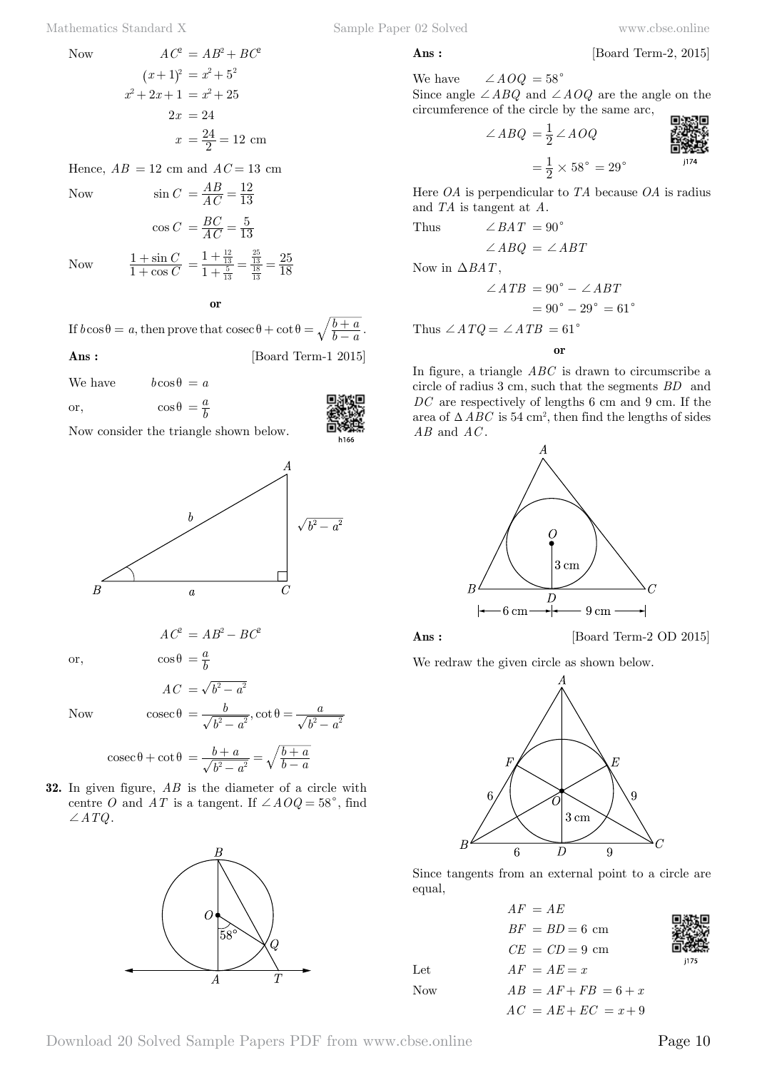Hence,  $AB = 12$  cm and  $AC = 13$  cm

cos sin *C C*

Now  $\sin C = \frac{AB}{AC}$ 

$$
\sin C = \frac{AB}{AC} = \frac{12}{13}
$$

$$
\cos C = \frac{BC}{AC} = \frac{5}{13}
$$

1 1

Now

 **o**

 $\frac{12}{13}$  $=\frac{1+\frac{12}{13}}{1+\frac{5}{13}} = \frac{\frac{25}{13}}{\frac{18}{13}} =$ 

18 25

If  $b \cos \theta = a$ , then prove that  $\csc \theta + \cot \theta = \sqrt{\frac{b+a}{b-a}}$ . **Ans :** [Board Term-1 2015]



We have  $b \cos \theta = a$ or,  $\cos \theta = \frac{a}{b}$ 

1 1  $^{+}$  $^{+}$ 

Now consider the triangle shown below.



or,  $\cos \theta = \frac{a}{b}$ 

Now  $\csc \theta = \frac{v}{\sqrt{v^2 + v^2}}$ , cot

$$
\csc \theta = \frac{b}{\sqrt{b^2 - a^2}}, \cot \theta = \frac{a}{\sqrt{b^2 - a^2}}
$$

$$
\csc \theta + \cot \theta = \frac{b + a}{\sqrt{b^2 - a^2}} = \sqrt{\frac{b + a}{b - a}}
$$

*b*

 $AC^2 = AB^2 - BC^2$ 

 $AC = \sqrt{b^2 - a^2}$ 

**32.** In given figure, *AB* is the diameter of a circle with centre *O* and *AT* is a tangent. If  $\angle A O Q = 58^\circ$ , find  $\angle ATQ$ .



We have  $\angle A O Q = 58^\circ$ 

Since angle  $\angle ABQ$  and  $\angle AOQ$  are the angle on the circumference of the circle by the same arc,

$$
\angle ABQ = \frac{1}{2} \angle AOQ
$$

Here *OA* is perpendicular to *TA* because *OA* is radius and *TA* is tangent at *A*.

Thus 
$$
\angle BAT = 90^{\circ}
$$
  
 $\angle A BQ = \angle ABT$ 

Now in  $\triangle BAT$ ,

$$
\angle ATB = 90^\circ - \angle ABT
$$

$$
= 90^\circ - 29^\circ = 61^\circ
$$
Thus, 
$$
\angle ATO = \angle ATP = 61^\circ
$$

Thus  $\angle ATQ = \angle ATB = 61$ 

 **o**

In figure, a triangle *ABC* is drawn to circumscribe a circle of radius 3 cm, such that the segments *BD* and DC are respectively of lengths 6 cm and 9 cm. If the area of  $\triangle ABC$  is 54 cm<sup>2</sup>, then find the lengths of sides *AB* and *AC* .



**Ans :** [Board Term-2 OD 2015]

We redraw the given circle as shown below.



Since tangents from an external point to a circle are equal,

 $AF = AE$  $BF = BD = 6$  cm  $CE = CD = 9$  cm Let  $AF = AE = x$ Now  $AB = AF + FB = 6 + x$  $AC = AE + EC = x + 9$ 

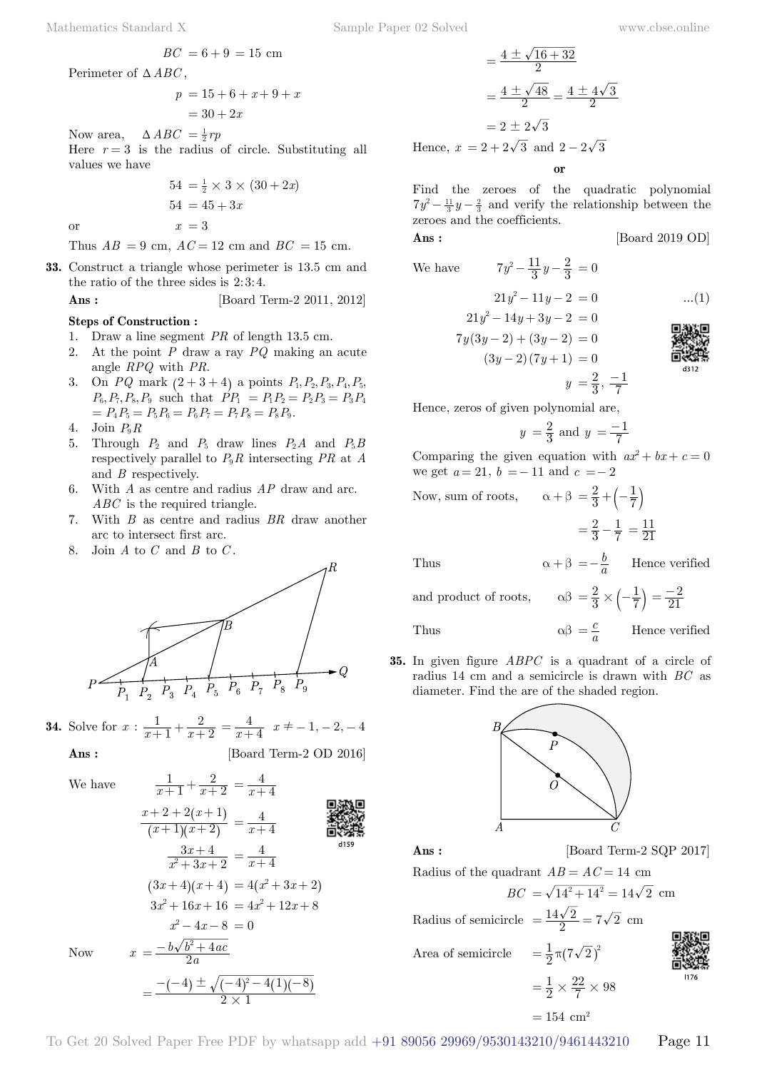$$
p = 15 + 6 + x + 9 + x
$$
  
= 30 + 2x

Now area,  $\Delta ABC = \frac{1}{2}rp$ 

Here  $r = 3$  is the radius of circle. Substituting all values we have

$$
54 = \frac{1}{2} \times 3 \times (30 + 2x)
$$

$$
54 = 45 + 3x
$$
or
$$
x = 3
$$

Thus  $AB = 9$  cm,  $AC = 12$  cm and  $BC = 15$  cm.

**33.** Construct a triangle whose perimeter is 13.5 cm and the ratio of the three sides is  $2:3:4$ .

### **Ans :** [Board Term-2 2011, 2012]

### **Steps of Construction :**

- 1. Draw a line segment *PR* of length 13.5 cm.
- 2. At the point *P* draw a ray *PQ* making an acute angle *RPQ* with *PR*.
- 3. On *PQ* mark  $(2 + 3 + 4)$  a points  $P_1, P_2, P_3, P_4, P_5$  $P_6, P_7, P_8, P_9$  such that  $\hat{P}P_1 = P_1P_2 = P_2P_3 = P_3P_4$  $= P_4 P_5 = P_5 P_6 = P_6 P_7 = P_7 P_8 = P_8 P_9.$
- 4. Join  $P_0R$
- 5. Through  $P_2$  and  $P_5$  draw lines  $P_2A$  and  $P_5B$ respectively parallel to  $P_9R$  intersecting  $PR$  at  $A$ and *B* respectively.
- 6. With *A* as centre and radius *AP* draw and arc. *ABC* is the required triangle.
- 7. With *B* as centre and radius *BR* draw another arc to intersect first arc.
- 8. Join *A* to *C* and *B* to *C* .



**34.** Solve for  $x : \frac{1}{x+1} + \frac{1}{x}$ 2  $\frac{1}{x+1} + \frac{2}{x+2} = \frac{4}{x+4}$   $x \neq -1, -2, -4$ 

2

Now *x*

$$
\text{Ans:} \qquad \qquad \text{[Board Term-2 OD 2016]}
$$

We have

$$
\frac{1}{x+1} + \frac{2}{x+2} = \frac{4}{x+4}
$$

$$
\frac{x+2+2(x+1)}{(x+1)(x+2)} = \frac{4}{x+4}
$$
\n
$$
\frac{3x+4}{x^2+3x+2} = \frac{4}{x+4}
$$
\n
$$
(3x+4)(x+4) = 4(x^2+3x+2)
$$
\n
$$
3x^2+16x+16 = 4x^2+12x+8
$$
\n
$$
x^2-4x-8 = 0
$$
\nNow\n
$$
x = \frac{-b\sqrt{b^2+4ac}}{2a}
$$
\n
$$
= \frac{-(-4) \pm \sqrt{(-4)^2-4(1)(-8)}}{2 \times 1}
$$

$$
= \frac{4 \pm \sqrt{16 + 32}}{2}
$$

$$
= \frac{4 \pm \sqrt{48}}{2} = \frac{4 \pm 4\sqrt{3}}{2}
$$

$$
= 2 \pm 2\sqrt{3}
$$

Hence,  $x = 2 + 2\sqrt{3}$  and  $2 - 2\sqrt{3}$ 

 **o**

Find the zeroes of the quadratic polynomial  $7y^2 - \frac{11}{3}y - \frac{2}{3}$  and verify the relationship between the zeroes and the coefficients.

$$
Ans: \qquad \qquad [\text{Board 2019 OD}]
$$

We have 
$$
7y^2 - \frac{11}{3}y - \frac{2}{3} = 0
$$

$$
21y^2 - 11y - 2 = 0 \qquad \dots (1)
$$

$$
21y^{2} - 14y + 3y - 2 = 0
$$
  
\n
$$
7y(3y - 2) + (3y - 2) = 0
$$
  
\n
$$
(3y - 2)(7y + 1) = 0
$$
  
\n
$$
y = \frac{2}{3}, \frac{-1}{7}
$$

Hence, zeros of given polynomial are,

$$
y = \frac{2}{3}
$$
 and  $y = \frac{-1}{7}$ 

Comparing the given equation with  $ax^2 + bx + c = 0$ we get  $a = 21$ ,  $b = -11$  and  $c = -2$ 

Now, sum of roots,  $\alpha + \beta = \frac{2}{3}$ 

Now, sum of roots, 
$$
\alpha + \beta = \frac{2}{3} + \left(-\frac{1}{7}\right)
$$
  
=  $\frac{2}{3} - \frac{1}{7} = \frac{11}{21}$ 

Thus  $\alpha + \beta = -\frac{b}{a}$  Hence verified

and product of roots, 2  $=\frac{2}{3} \times \left(-\frac{1}{7}\right) = \frac{-2}{21}$ 

Thus  $\alpha\beta = \frac{c}{a}$ Hence verified

**35.** In given figure *ABPC* is a quadrant of a circle of radius 14 cm and a semicircle is drawn with *BC* as diameter. Find the are of the shaded region.



**Ans :** [Board Term-2 SQP 2017]

Radius of the quadrant  $AB = AC = 14$  cm  $BC = \sqrt{14^2 + 14^2} = 14\sqrt{2}$  cm

Radius of semicircle 
$$
=\frac{14\sqrt{2}}{2} = 7\sqrt{2}
$$
 cm

Area of semicircle  $=\frac{1}{2} \pi (7 \sqrt{2})^2$ 

 $=\frac{1}{2}$ 

$$
\begin{array}{c}\n\text{MSE} \\
\text{MSE} \\
\text{MSE} \\
\text{MSE} \\
\text{MSE} \\
\text{MSE} \\
\text{MSE} \\
\text{MSE} \\
\text{MSE} \\
\text{MSE} \\
\text{MSE} \\
\text{MSE} \\
\text{MSE} \\
\text{MSE} \\
\text{MSE} \\
\text{MSE} \\
\text{MSE} \\
\text{MSE} \\
\text{MSE} \\
\text{MSE} \\
\text{MSE} \\
\text{MSE} \\
\text{MSE} \\
\text{MSE} \\
\text{MSE} \\
\text{MSE} \\
\text{MSE} \\
\text{MSE} \\
\text{MSE} \\
\text{MSE} \\
\text{MSE} \\
\text{MSE} \\
\text{MSE} \\
\text{MSE} \\
\text{MSE} \\
\text{MSE} \\
\text{MSE} \\
\text{MSE} \\
\text{MSE} \\
\text{MSE} \\
\text{MSE} \\
\text{MSE} \\
\text{MSE} \\
\text{MSE} \\
\text{MSE} \\
\text{MSE} \\
\text{MSE} \\
\text{MSE} \\
\text{MSE} \\
\text{MSE} \\
\text{MSE} \\
\text{MSE} \\
\text{MSE} \\
\text{MSE} \\
\text{MSE} \\
\text{MSE} \\
\text{MSE} \\
\text{MSE} \\
\text{MSE} \\
\text{MSE} \\
\text{MSE} \\
\text{MSE} \\
\text{MSE} \\
\text{MSE} \\
\text{MSE} \\
\text{MSE} \\
\text{MSE} \\
\text{MSE} \\
\text{MSE} \\
\text{MSE} \\
\text{MSE} \\
\text{MSE} \\
\text{MSE} \\
\text{MSE} \\
\text{MSE} \\
\text{MSE} \\
\text{MSE} \\
\text{MSE} \\
\text{MSE} \\
\text{MSE} \\
\text{MSE} \\
\text{MSE} \\
\text{MSE} \\
\text{MSE} \\
\text{MSE} \\
\text{MSE} \\
\text{MSE} \\
\text{MSE} \\
\text{MSE} \\
\text{MSE} \\
\text{MSE} \\
\text{MSE} \\
\text{MSE} \\
\text{MSE} \\
\text{MSE} \\
\text{MSE} \\
\text{MSE} \\
\text{MSE} \\
\text{MSE} \\
\text{MSE} \\
\text{MSE} \\
\text{MSE} \\
\text{MSE} \\
\text{MSE} \\
\text{MSE} \\
\text{MSE} \\
\text{MSE} \\
\text{
$$

$$
= 154 \, \text{ cm}^2
$$

 $=\frac{1}{2}\times\frac{22}{7}\times98$